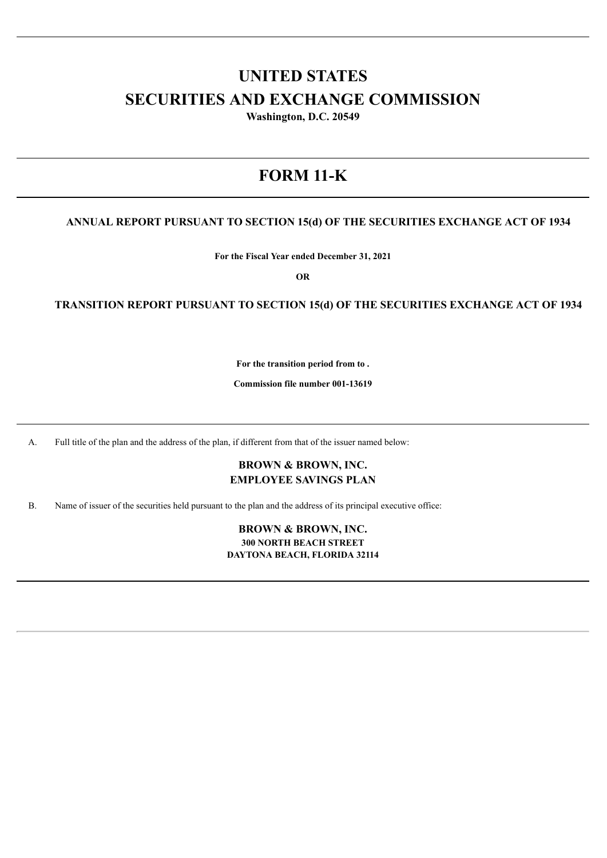# **UNITED STATES SECURITIES AND EXCHANGE COMMISSION**

**Washington, D.C. 20549**

# **FORM 11-K**

# **ANNUAL REPORT PURSUANT TO SECTION 15(d) OF THE SECURITIES EXCHANGE ACT OF 1934**

**For the Fiscal Year ended December 31, 2021**

**OR**

**TRANSITION REPORT PURSUANT TO SECTION 15(d) OF THE SECURITIES EXCHANGE ACT OF 1934**

**For the transition period from to .**

**Commission file number 001-13619**

A. Full title of the plan and the address of the plan, if different from that of the issuer named below:

# **BROWN & BROWN, INC. EMPLOYEE SAVINGS PLAN**

B. Name of issuer of the securities held pursuant to the plan and the address of its principal executive office:

# **BROWN & BROWN, INC. 300 NORTH BEACH STREET DAYTONA BEACH, FLORIDA 32114**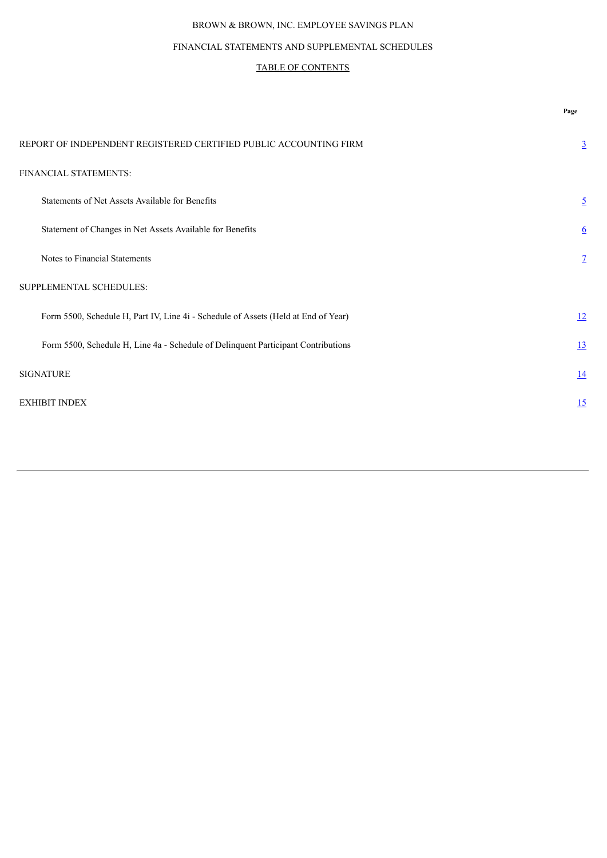## FINANCIAL STATEMENTS AND SUPPLEMENTAL SCHEDULES

## TABLE OF CONTENTS

|                                                                                    | Page             |
|------------------------------------------------------------------------------------|------------------|
| REPORT OF INDEPENDENT REGISTERED CERTIFIED PUBLIC ACCOUNTING FIRM                  | $\overline{3}$   |
| FINANCIAL STATEMENTS:                                                              |                  |
| Statements of Net Assets Available for Benefits                                    | $\overline{5}$   |
| Statement of Changes in Net Assets Available for Benefits                          | $6 \overline{6}$ |
| Notes to Financial Statements                                                      | $\overline{1}$   |
| SUPPLEMENTAL SCHEDULES:                                                            |                  |
| Form 5500, Schedule H, Part IV, Line 4i - Schedule of Assets (Held at End of Year) | 12               |
| Form 5500, Schedule H, Line 4a - Schedule of Delinquent Participant Contributions  | <u>13</u>        |
| <b>SIGNATURE</b>                                                                   | <u>14</u>        |
| <b>EXHIBIT INDEX</b>                                                               | 15               |
|                                                                                    |                  |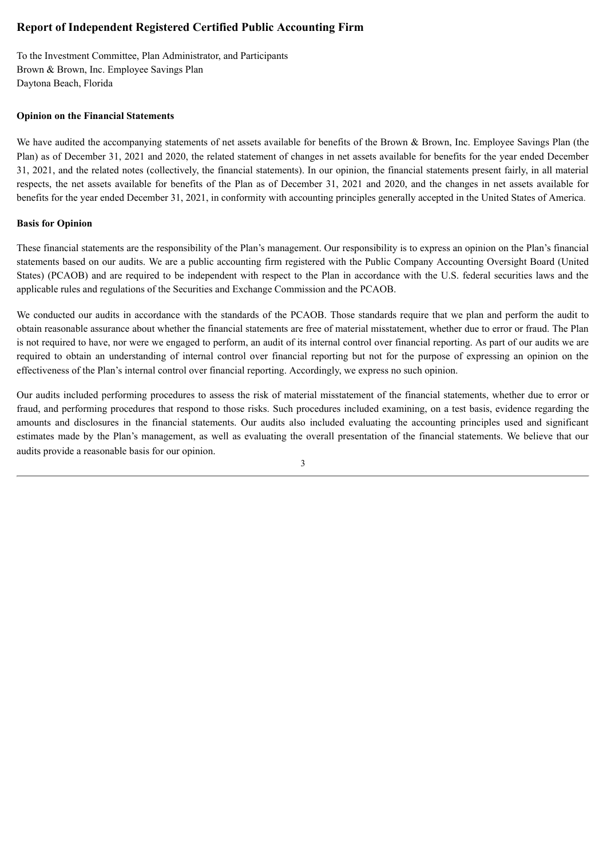# **Report of Independent Registered Certified Public Accounting Firm**

To the Investment Committee, Plan Administrator, and Participants Brown & Brown, Inc. Employee Savings Plan Daytona Beach, Florida

#### **Opinion on the Financial Statements**

We have audited the accompanying statements of net assets available for benefits of the Brown & Brown. Inc. Employee Savings Plan (the Plan) as of December 31, 2021 and 2020, the related statement of changes in net assets available for benefits for the year ended December 31, 2021, and the related notes (collectively, the financial statements). In our opinion, the financial statements present fairly, in all material respects, the net assets available for benefits of the Plan as of December 31, 2021 and 2020, and the changes in net assets available for benefits for the year ended December 31, 2021, in conformity with accounting principles generally accepted in the United States of America.

#### **Basis for Opinion**

These financial statements are the responsibility of the Plan's management. Our responsibility is to express an opinion on the Plan's financial statements based on our audits. We are a public accounting firm registered with the Public Company Accounting Oversight Board (United States) (PCAOB) and are required to be independent with respect to the Plan in accordance with the U.S. federal securities laws and the applicable rules and regulations of the Securities and Exchange Commission and the PCAOB.

We conducted our audits in accordance with the standards of the PCAOB. Those standards require that we plan and perform the audit to obtain reasonable assurance about whether the financial statements are free of material misstatement, whether due to error or fraud. The Plan is not required to have, nor were we engaged to perform, an audit of its internal control over financial reporting. As part of our audits we are required to obtain an understanding of internal control over financial reporting but not for the purpose of expressing an opinion on the effectiveness of the Plan's internal control over financial reporting. Accordingly, we express no such opinion.

Our audits included performing procedures to assess the risk of material misstatement of the financial statements, whether due to error or fraud, and performing procedures that respond to those risks. Such procedures included examining, on a test basis, evidence regarding the amounts and disclosures in the financial statements. Our audits also included evaluating the accounting principles used and significant estimates made by the Plan's management, as well as evaluating the overall presentation of the financial statements. We believe that our audits provide a reasonable basis for our opinion.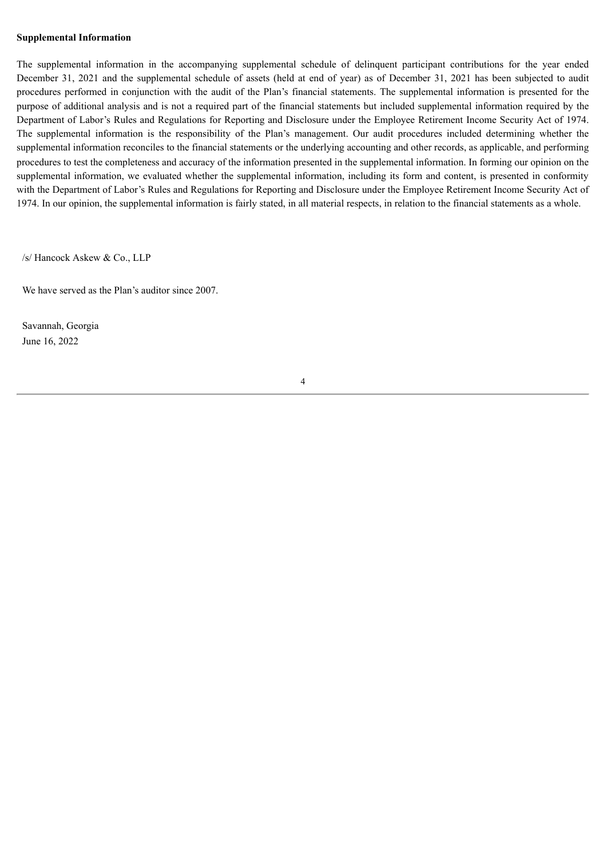#### **Supplemental Information**

The supplemental information in the accompanying supplemental schedule of delinquent participant contributions for the year ended December 31, 2021 and the supplemental schedule of assets (held at end of year) as of December 31, 2021 has been subjected to audit procedures performed in conjunction with the audit of the Plan's financial statements. The supplemental information is presented for the purpose of additional analysis and is not a required part of the financial statements but included supplemental information required by the Department of Labor's Rules and Regulations for Reporting and Disclosure under the Employee Retirement Income Security Act of 1974. The supplemental information is the responsibility of the Plan's management. Our audit procedures included determining whether the supplemental information reconciles to the financial statements or the underlying accounting and other records, as applicable, and performing procedures to test the completeness and accuracy of the information presented in the supplemental information. In forming our opinion on the supplemental information, we evaluated whether the supplemental information, including its form and content, is presented in conformity with the Department of Labor's Rules and Regulations for Reporting and Disclosure under the Employee Retirement Income Security Act of 1974. In our opinion, the supplemental information is fairly stated, in all material respects, in relation to the financial statements as a whole.

/s/ Hancock Askew & Co., LLP

We have served as the Plan's auditor since 2007.

Savannah, Georgia June 16, 2022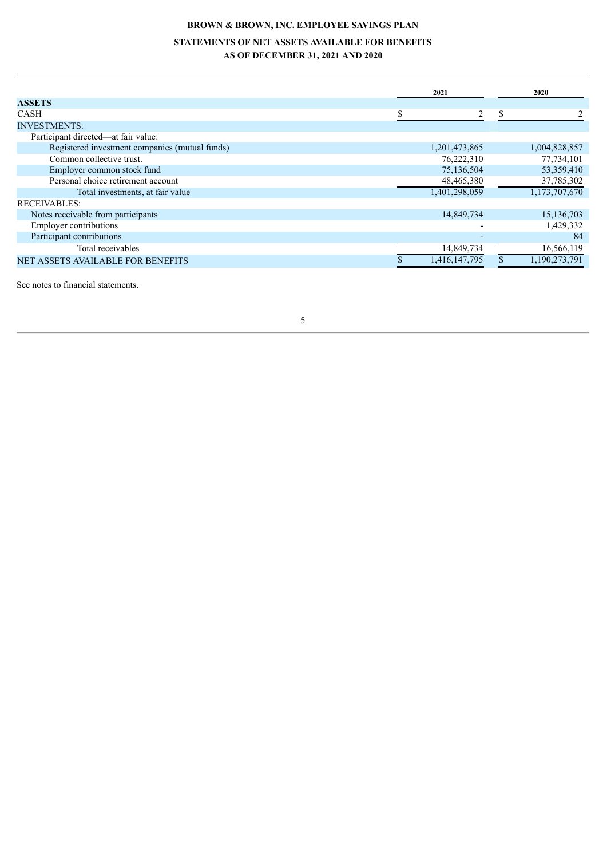# **STATEMENTS OF NET ASSETS AVAILABLE FOR BENEFITS AS OF DECEMBER 31, 2021 AND 2020**

|                                                | 2021          | 2020                |
|------------------------------------------------|---------------|---------------------|
| <b>ASSETS</b>                                  |               |                     |
| <b>CASH</b>                                    | 2             | \$                  |
| <b>INVESTMENTS:</b>                            |               |                     |
| Participant directed—at fair value:            |               |                     |
| Registered investment companies (mutual funds) | 1,201,473,865 | 1,004,828,857       |
| Common collective trust.                       | 76,222,310    | 77,734,101          |
| Employer common stock fund                     | 75,136,504    | 53,359,410          |
| Personal choice retirement account             | 48,465,380    | 37,785,302          |
| Total investments, at fair value               | 1,401,298,059 | 1,173,707,670       |
| <b>RECEIVABLES:</b>                            |               |                     |
| Notes receivable from participants             | 14,849,734    | 15,136,703          |
| <b>Employer contributions</b>                  |               | 1,429,332           |
| Participant contributions                      |               | 84                  |
| Total receivables                              | 14,849,734    | 16,566,119          |
| <b>NET ASSETS AVAILABLE FOR BENEFITS</b>       | 1,416,147,795 | \$<br>1,190,273,791 |

See notes to financial statements.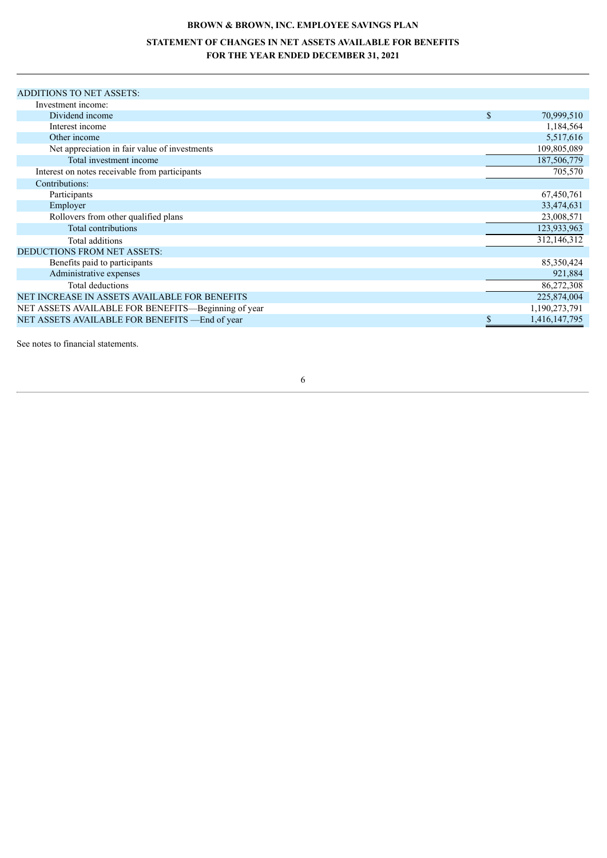# **STATEMENT OF CHANGES IN NET ASSETS AVAILABLE FOR BENEFITS FOR THE YEAR ENDED DECEMBER 31, 2021**

| <b>ADDITIONS TO NET ASSETS:</b>                     |                     |
|-----------------------------------------------------|---------------------|
| Investment income:                                  |                     |
| Dividend income                                     | \$<br>70,999,510    |
| Interest income                                     | 1,184,564           |
| Other income                                        | 5,517,616           |
| Net appreciation in fair value of investments       | 109,805,089         |
| Total investment income                             | 187,506,779         |
| Interest on notes receivable from participants      | 705,570             |
| Contributions:                                      |                     |
| Participants                                        | 67,450,761          |
| Employer                                            | 33,474,631          |
| Rollovers from other qualified plans                | 23,008,571          |
| Total contributions                                 | 123,933,963         |
| Total additions                                     | 312,146,312         |
| <b>DEDUCTIONS FROM NET ASSETS:</b>                  |                     |
| Benefits paid to participants                       | 85,350,424          |
| Administrative expenses                             | 921,884             |
| <b>Total deductions</b>                             | 86,272,308          |
| NET INCREASE IN ASSETS AVAILABLE FOR BENEFITS       | 225,874,004         |
| NET ASSETS AVAILABLE FOR BENEFITS-Beginning of year | 1,190,273,791       |
| NET ASSETS AVAILABLE FOR BENEFITS -End of year      | \$<br>1,416,147,795 |

See notes to financial statements.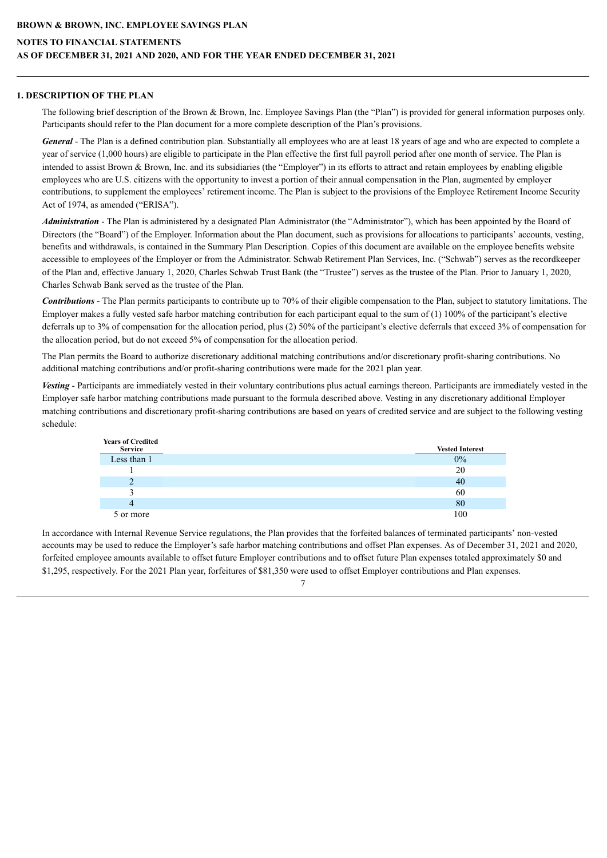# **BROWN & BROWN, INC. EMPLOYEE SAVINGS PLAN NOTES TO FINANCIAL STATEMENTS**

#### **AS OF DECEMBER 31, 2021 AND 2020, AND FOR THE YEAR ENDED DECEMBER 31, 2021**

#### **1. DESCRIPTION OF THE PLAN**

The following brief description of the Brown & Brown, Inc. Employee Savings Plan (the "Plan") is provided for general information purposes only. Participants should refer to the Plan document for a more complete description of the Plan's provisions.

*General* - The Plan is a defined contribution plan. Substantially all employees who are at least 18 years of age and who are expected to complete a year of service (1,000 hours) are eligible to participate in the Plan effective the first full payroll period after one month of service. The Plan is intended to assist Brown & Brown, Inc. and its subsidiaries (the "Employer") in its efforts to attract and retain employees by enabling eligible employees who are U.S. citizens with the opportunity to invest a portion of their annual compensation in the Plan, augmented by employer contributions, to supplement the employees' retirement income. The Plan is subject to the provisions of the Employee Retirement Income Security Act of 1974, as amended ("ERISA").

*Administration* - The Plan is administered by a designated Plan Administrator (the "Administrator"), which has been appointed by the Board of Directors (the "Board") of the Employer. Information about the Plan document, such as provisions for allocations to participants' accounts, vesting, benefits and withdrawals, is contained in the Summary Plan Description. Copies of this document are available on the employee benefits website accessible to employees of the Employer or from the Administrator. Schwab Retirement Plan Services, Inc. ("Schwab") serves as the recordkeeper of the Plan and, effective January 1, 2020, Charles Schwab Trust Bank (the "Trustee") serves as the trustee of the Plan. Prior to January 1, 2020, Charles Schwab Bank served as the trustee of the Plan.

*Contributions* - The Plan permits participants to contribute up to 70% of their eligible compensation to the Plan, subject to statutory limitations. The Employer makes a fully vested safe harbor matching contribution for each participant equal to the sum of (1) 100% of the participant's elective deferrals up to 3% of compensation for the allocation period, plus (2) 50% of the participant's elective deferrals that exceed 3% of compensation for the allocation period, but do not exceed 5% of compensation for the allocation period.

The Plan permits the Board to authorize discretionary additional matching contributions and/or discretionary profit-sharing contributions. No additional matching contributions and/or profit-sharing contributions were made for the 2021 plan year.

*Vesting* - Participants are immediately vested in their voluntary contributions plus actual earnings thereon. Participants are immediately vested in the Employer safe harbor matching contributions made pursuant to the formula described above. Vesting in any discretionary additional Employer matching contributions and discretionary profit-sharing contributions are based on years of credited service and are subject to the following vesting schedule:

| <b>Years of Credited</b><br><b>Service</b> | <b>Vested Interest</b> |
|--------------------------------------------|------------------------|
| Less than 1                                | $0\%$                  |
|                                            | 20                     |
|                                            | 40                     |
|                                            | 60                     |
|                                            | 80                     |
| 5 or more                                  | 100                    |

In accordance with Internal Revenue Service regulations, the Plan provides that the forfeited balances of terminated participants' non-vested accounts may be used to reduce the Employer's safe harbor matching contributions and offset Plan expenses. As of December 31, 2021 and 2020, forfeited employee amounts available to offset future Employer contributions and to offset future Plan expenses totaled approximately \$0 and \$1,295, respectively. For the 2021 Plan year, forfeitures of \$81,350 were used to offset Employer contributions and Plan expenses.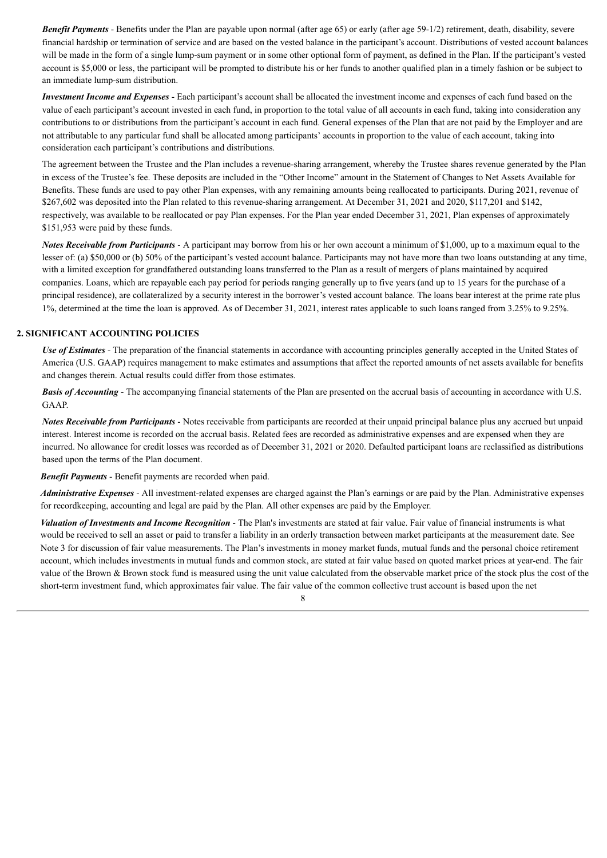*Benefit Payments* - Benefits under the Plan are payable upon normal (after age 65) or early (after age 59-1/2) retirement, death, disability, severe financial hardship or termination of service and are based on the vested balance in the participant's account. Distributions of vested account balances will be made in the form of a single lump-sum payment or in some other optional form of payment, as defined in the Plan. If the participant's vested account is \$5,000 or less, the participant will be prompted to distribute his or her funds to another qualified plan in a timely fashion or be subject to an immediate lump-sum distribution.

*Investment Income and Expenses* - Each participant's account shall be allocated the investment income and expenses of each fund based on the value of each participant's account invested in each fund, in proportion to the total value of all accounts in each fund, taking into consideration any contributions to or distributions from the participant's account in each fund. General expenses of the Plan that are not paid by the Employer and are not attributable to any particular fund shall be allocated among participants' accounts in proportion to the value of each account, taking into consideration each participant's contributions and distributions.

The agreement between the Trustee and the Plan includes a revenue-sharing arrangement, whereby the Trustee shares revenue generated by the Plan in excess of the Trustee's fee. These deposits are included in the "Other Income" amount in the Statement of Changes to Net Assets Available for Benefits. These funds are used to pay other Plan expenses, with any remaining amounts being reallocated to participants. During 2021, revenue of \$267,602 was deposited into the Plan related to this revenue-sharing arrangement. At December 31, 2021 and 2020, \$117,201 and \$142, respectively, was available to be reallocated or pay Plan expenses. For the Plan year ended December 31, 2021, Plan expenses of approximately \$151,953 were paid by these funds.

*Notes Receivable from Participants* - A participant may borrow from his or her own account a minimum of \$1,000, up to a maximum equal to the lesser of: (a) \$50,000 or (b) 50% of the participant's vested account balance. Participants may not have more than two loans outstanding at any time, with a limited exception for grandfathered outstanding loans transferred to the Plan as a result of mergers of plans maintained by acquired companies. Loans, which are repayable each pay period for periods ranging generally up to five years (and up to 15 years for the purchase of a principal residence), are collateralized by a security interest in the borrower's vested account balance. The loans bear interest at the prime rate plus 1%, determined at the time the loan is approved. As of December 31, 2021, interest rates applicable to such loans ranged from 3.25% to 9.25%.

#### **2. SIGNIFICANT ACCOUNTING POLICIES**

*Use of Estimates* - The preparation of the financial statements in accordance with accounting principles generally accepted in the United States of America (U.S. GAAP) requires management to make estimates and assumptions that affect the reported amounts of net assets available for benefits and changes therein. Actual results could differ from those estimates.

**Basis of Accounting** - The accompanying financial statements of the Plan are presented on the accrual basis of accounting in accordance with U.S. GAAP.

*Notes Receivable from Participants* - Notes receivable from participants are recorded at their unpaid principal balance plus any accrued but unpaid interest. Interest income is recorded on the accrual basis. Related fees are recorded as administrative expenses and are expensed when they are incurred. No allowance for credit losses was recorded as of December 31, 2021 or 2020. Defaulted participant loans are reclassified as distributions based upon the terms of the Plan document.

*Benefit Payments* - Benefit payments are recorded when paid.

*Administrative Expenses* - All investment-related expenses are charged against the Plan's earnings or are paid by the Plan. Administrative expenses for recordkeeping, accounting and legal are paid by the Plan. All other expenses are paid by the Employer.

*Valuation of Investments and Income Recognition* - The Plan's investments are stated at fair value. Fair value of financial instruments is what would be received to sell an asset or paid to transfer a liability in an orderly transaction between market participants at the measurement date. See Note 3 for discussion of fair value measurements. The Plan's investments in money market funds, mutual funds and the personal choice retirement account, which includes investments in mutual funds and common stock, are stated at fair value based on quoted market prices at year-end. The fair value of the Brown & Brown stock fund is measured using the unit value calculated from the observable market price of the stock plus the cost of the short-term investment fund, which approximates fair value. The fair value of the common collective trust account is based upon the net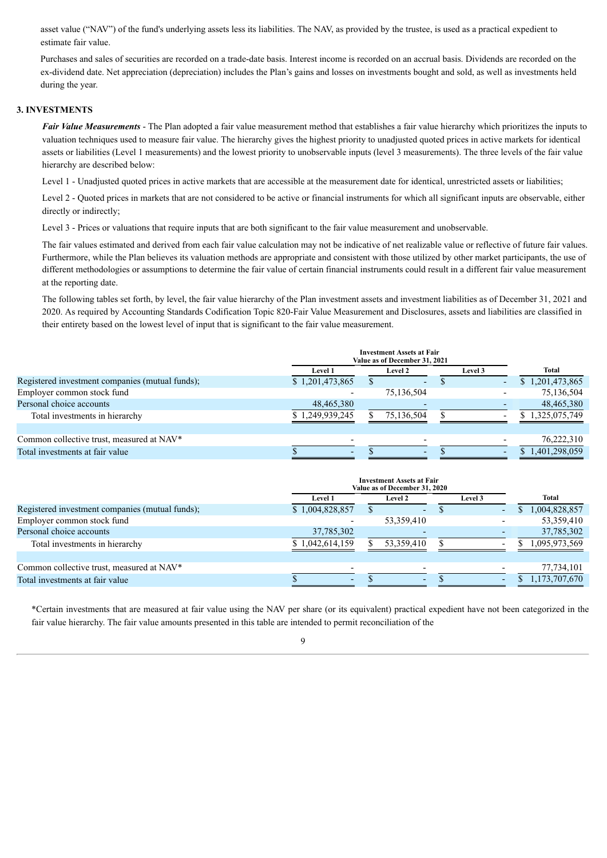asset value ("NAV") of the fund's underlying assets less its liabilities. The NAV, as provided by the trustee, is used as a practical expedient to estimate fair value.

Purchases and sales of securities are recorded on a trade-date basis. Interest income is recorded on an accrual basis. Dividends are recorded on the ex-dividend date. Net appreciation (depreciation) includes the Plan's gains and losses on investments bought and sold, as well as investments held during the year.

#### **3. INVESTMENTS**

*Fair Value Measurements* - The Plan adopted a fair value measurement method that establishes a fair value hierarchy which prioritizes the inputs to valuation techniques used to measure fair value. The hierarchy gives the highest priority to unadjusted quoted prices in active markets for identical assets or liabilities (Level 1 measurements) and the lowest priority to unobservable inputs (level 3 measurements). The three levels of the fair value hierarchy are described below:

Level 1 - Unadjusted quoted prices in active markets that are accessible at the measurement date for identical, unrestricted assets or liabilities;

Level 2 - Quoted prices in markets that are not considered to be active or financial instruments for which all significant inputs are observable, either directly or indirectly;

Level 3 - Prices or valuations that require inputs that are both significant to the fair value measurement and unobservable.

The fair values estimated and derived from each fair value calculation may not be indicative of net realizable value or reflective of future fair values. Furthermore, while the Plan believes its valuation methods are appropriate and consistent with those utilized by other market participants, the use of different methodologies or assumptions to determine the fair value of certain financial instruments could result in a different fair value measurement at the reporting date.

The following tables set forth, by level, the fair value hierarchy of the Plan investment assets and investment liabilities as of December 31, 2021 and 2020. As required by Accounting Standards Codification Topic 820-Fair Value Measurement and Disclosures, assets and liabilities are classified in their entirety based on the lowest level of input that is significant to the fair value measurement.

|                                                 |                 | <b>Investment Assets at Fair</b><br>Value as of December 31, 2021 |         |               |
|-------------------------------------------------|-----------------|-------------------------------------------------------------------|---------|---------------|
|                                                 | <b>Level 1</b>  | <b>Level 2</b>                                                    | Level 3 | <b>Total</b>  |
| Registered investment companies (mutual funds); | \$1,201,473,865 | $\overline{\phantom{0}}$                                          |         | 1,201,473,865 |
| Employer common stock fund                      |                 | 75,136,504                                                        |         | 75,136,504    |
| Personal choice accounts                        | 48,465,380      |                                                                   |         | 48,465,380    |
| Total investments in hierarchy                  | \$1,249,939,245 | 75,136,504                                                        |         | 1,325,075,749 |
|                                                 |                 |                                                                   |         |               |
| Common collective trust, measured at NAV*       |                 |                                                                   |         | 76,222,310    |
| Total investments at fair value                 |                 |                                                                   |         | 401,298,059   |

|                                                 |                 |   | <b>Investment Assets at Fair</b><br>Value as of December 31, 2020 |         |               |
|-------------------------------------------------|-----------------|---|-------------------------------------------------------------------|---------|---------------|
|                                                 | <b>Level 1</b>  |   | Level 2                                                           | Level 3 | Total         |
| Registered investment companies (mutual funds); | \$1,004,828,857 | S | ۰                                                                 |         | 1,004,828,857 |
| Employer common stock fund                      |                 |   | 53,359,410                                                        |         | 53,359,410    |
| Personal choice accounts                        | 37,785,302      |   |                                                                   |         | 37,785,302    |
| Total investments in hierarchy                  | \$1,042,614,159 |   | 53.359.410                                                        |         | .095.973.569  |
|                                                 |                 |   |                                                                   |         |               |
| Common collective trust, measured at NAV*       |                 |   |                                                                   |         | 77,734,101    |
| Total investments at fair value                 |                 |   | $\overline{\phantom{0}}$                                          |         | .173,707,670  |

\*Certain investments that are measured at fair value using the NAV per share (or its equivalent) practical expedient have not been categorized in the fair value hierarchy. The fair value amounts presented in this table are intended to permit reconciliation of the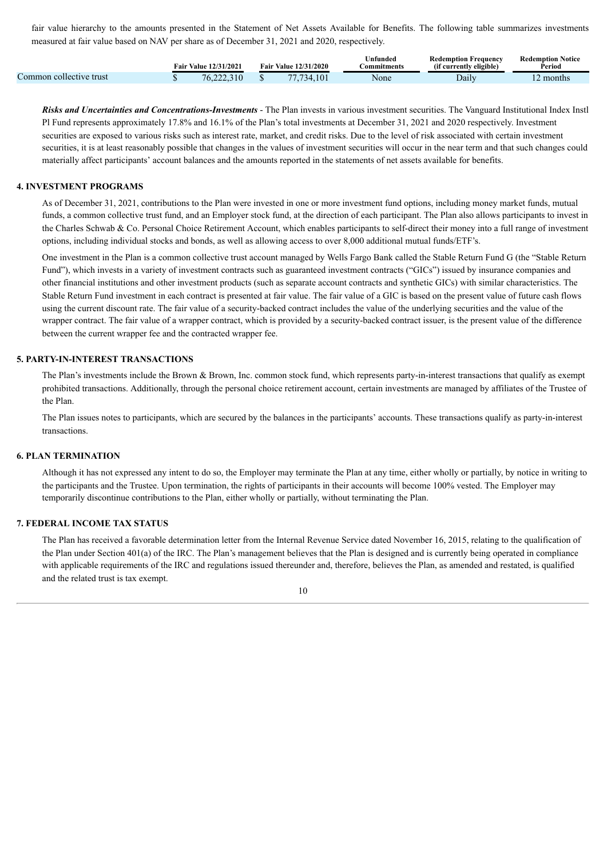fair value hierarchy to the amounts presented in the Statement of Net Assets Available for Benefits. The following table summarizes investments measured at fair value based on NAV per share as of December 31, 2021 and 2020, respectively.

|                         | <b>Fair Value 12/31/2021</b> | Fair | <b>Value 12/31/2020</b> | ™nfunded<br>:ommitments | requency ו<br>Kedemntion<br>(if currently eligible) | <b>Redemption Notice</b><br>Period |
|-------------------------|------------------------------|------|-------------------------|-------------------------|-----------------------------------------------------|------------------------------------|
| Common collective trust | 76.                          |      | 4.101<br>'34            | None                    | Daily                                               | months                             |

*Risks and Uncertainties and Concentrations-Investments* - The Plan invests in various investment securities. The Vanguard Institutional Index Instl Pl Fund represents approximately 17.8% and 16.1% of the Plan's total investments at December 31, 2021 and 2020 respectively. Investment securities are exposed to various risks such as interest rate, market, and credit risks. Due to the level of risk associated with certain investment securities, it is at least reasonably possible that changes in the values of investment securities will occur in the near term and that such changes could materially affect participants' account balances and the amounts reported in the statements of net assets available for benefits.

#### **4. INVESTMENT PROGRAMS**

As of December 31, 2021, contributions to the Plan were invested in one or more investment fund options, including money market funds, mutual funds, a common collective trust fund, and an Employer stock fund, at the direction of each participant. The Plan also allows participants to invest in the Charles Schwab & Co. Personal Choice Retirement Account, which enables participants to self-direct their money into a full range of investment options, including individual stocks and bonds, as well as allowing access to over 8,000 additional mutual funds/ETF's.

One investment in the Plan is a common collective trust account managed by Wells Fargo Bank called the Stable Return Fund G (the "Stable Return Fund"), which invests in a variety of investment contracts such as guaranteed investment contracts ("GICs") issued by insurance companies and other financial institutions and other investment products (such as separate account contracts and synthetic GICs) with similar characteristics. The Stable Return Fund investment in each contract is presented at fair value. The fair value of a GIC is based on the present value of future cash flows using the current discount rate. The fair value of a security-backed contract includes the value of the underlying securities and the value of the wrapper contract. The fair value of a wrapper contract, which is provided by a security-backed contract issuer, is the present value of the difference between the current wrapper fee and the contracted wrapper fee.

#### **5. PARTY-IN-INTEREST TRANSACTIONS**

The Plan's investments include the Brown & Brown, Inc. common stock fund, which represents party-in-interest transactions that qualify as exempt prohibited transactions. Additionally, through the personal choice retirement account, certain investments are managed by affiliates of the Trustee of the Plan.

The Plan issues notes to participants, which are secured by the balances in the participants' accounts. These transactions qualify as party-in-interest transactions.

#### **6. PLAN TERMINATION**

Although it has not expressed any intent to do so, the Employer may terminate the Plan at any time, either wholly or partially, by notice in writing to the participants and the Trustee. Upon termination, the rights of participants in their accounts will become 100% vested. The Employer may temporarily discontinue contributions to the Plan, either wholly or partially, without terminating the Plan.

#### **7. FEDERAL INCOME TAX STATUS**

The Plan has received a favorable determination letter from the Internal Revenue Service dated November 16, 2015, relating to the qualification of the Plan under Section 401(a) of the IRC. The Plan's management believes that the Plan is designed and is currently being operated in compliance with applicable requirements of the IRC and regulations issued thereunder and, therefore, believes the Plan, as amended and restated, is qualified and the related trust is tax exempt.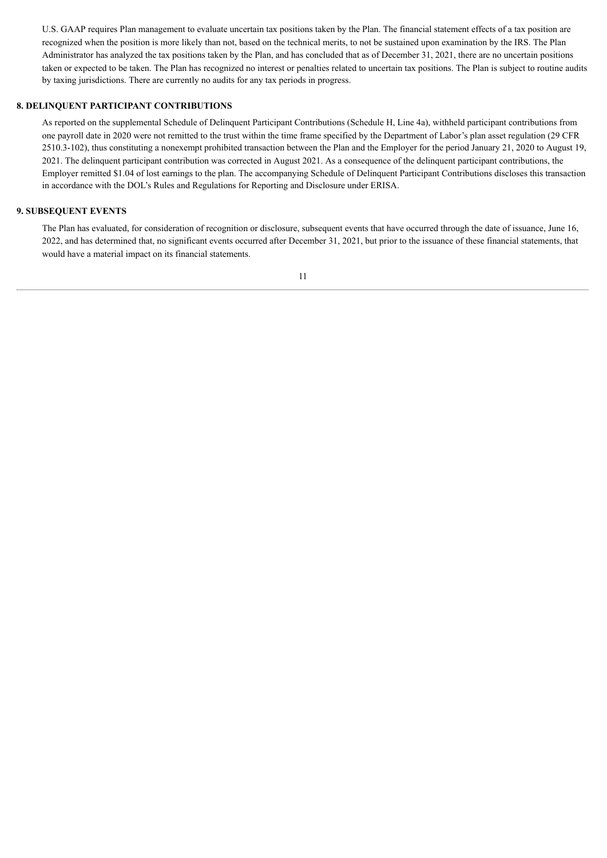U.S. GAAP requires Plan management to evaluate uncertain tax positions taken by the Plan. The financial statement effects of a tax position are recognized when the position is more likely than not, based on the technical merits, to not be sustained upon examination by the IRS. The Plan Administrator has analyzed the tax positions taken by the Plan, and has concluded that as of December 31, 2021, there are no uncertain positions taken or expected to be taken. The Plan has recognized no interest or penalties related to uncertain tax positions. The Plan is subject to routine audits by taxing jurisdictions. There are currently no audits for any tax periods in progress.

### **8. DELINQUENT PARTICIPANT CONTRIBUTIONS**

As reported on the supplemental Schedule of Delinquent Participant Contributions (Schedule H, Line 4a), withheld participant contributions from one payroll date in 2020 were not remitted to the trust within the time frame specified by the Department of Labor's plan asset regulation (29 CFR 2510.3-102), thus constituting a nonexempt prohibited transaction between the Plan and the Employer for the period January 21, 2020 to August 19, 2021. The delinquent participant contribution was corrected in August 2021. As a consequence of the delinquent participant contributions, the Employer remitted \$1.04 of lost earnings to the plan. The accompanying Schedule of Delinquent Participant Contributions discloses this transaction in accordance with the DOL's Rules and Regulations for Reporting and Disclosure under ERISA.

#### **9. SUBSEQUENT EVENTS**

The Plan has evaluated, for consideration of recognition or disclosure, subsequent events that have occurred through the date of issuance, June 16, 2022, and has determined that, no significant events occurred after December 31, 2021, but prior to the issuance of these financial statements, that would have a material impact on its financial statements.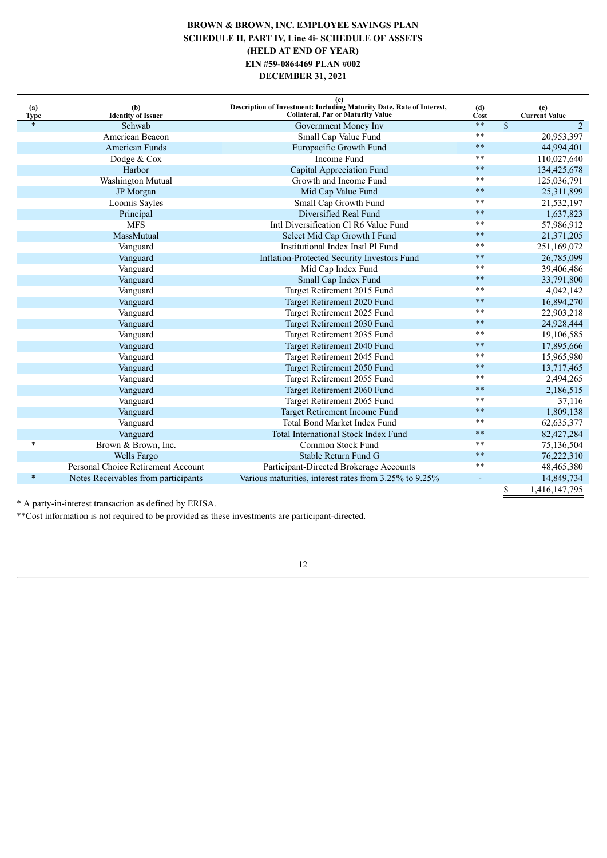# **BROWN & BROWN, INC. EMPLOYEE SAVINGS PLAN SCHEDULE H, PART IV, Line 4i- SCHEDULE OF ASSETS (HELD AT END OF YEAR) EIN #59-0864469 PLAN #002 DECEMBER 31, 2021**

| (a)                   | (b)                                 | (c)<br>Description of Investment: Including Maturity Date, Rate of Interest, | (d)                      |                         | (e)                                                 |
|-----------------------|-------------------------------------|------------------------------------------------------------------------------|--------------------------|-------------------------|-----------------------------------------------------|
| <b>Type</b><br>$\ast$ | <b>Identity of Issuer</b><br>Schwab | <b>Collateral, Par or Maturity Value</b>                                     | Cost<br>$* *$            | $\mathbf S$             | <b>Current Value</b><br>$\mathcal{D}_{\mathcal{L}}$ |
|                       | American Beacon                     | Government Money Inv                                                         | $\ast\ast$               |                         |                                                     |
|                       |                                     | Small Cap Value Fund                                                         | $**$                     |                         | 20,953,397                                          |
|                       | <b>American Funds</b>               | Europacific Growth Fund                                                      | **                       |                         | 44,994,401                                          |
|                       | Dodge & Cox                         | <b>Income Fund</b>                                                           |                          |                         | 110,027,640                                         |
|                       | Harbor                              | Capital Appreciation Fund                                                    | $**$                     |                         | 134,425,678                                         |
|                       | Washington Mutual                   | Growth and Income Fund                                                       | $**$                     |                         | 125,036,791                                         |
|                       | JP Morgan                           | Mid Cap Value Fund                                                           | $***$                    |                         | 25,311,899                                          |
|                       | Loomis Sayles                       | Small Cap Growth Fund                                                        | $* *$                    |                         | 21,532,197                                          |
|                       | Principal                           | Diversified Real Fund                                                        | $**$                     |                         | 1,637,823                                           |
|                       | <b>MFS</b>                          | Intl Diversification Cl R6 Value Fund                                        | **                       |                         | 57,986,912                                          |
|                       | MassMutual                          | Select Mid Cap Growth I Fund                                                 | $***$                    |                         | 21,371,205                                          |
|                       | Vanguard                            | Institutional Index Instl Pl Fund                                            | $* *$                    |                         | 251,169,072                                         |
|                       | Vanguard                            | Inflation-Protected Security Investors Fund                                  | $***$                    |                         | 26,785,099                                          |
|                       | Vanguard                            | Mid Cap Index Fund                                                           | $* *$                    |                         | 39,406,486                                          |
|                       | Vanguard                            | Small Cap Index Fund                                                         | $***$                    |                         | 33,791,800                                          |
|                       | Vanguard                            | Target Retirement 2015 Fund                                                  | $\ast\ast$               |                         | 4,042,142                                           |
|                       | Vanguard                            | Target Retirement 2020 Fund                                                  | $***$                    |                         | 16,894,270                                          |
|                       | Vanguard                            | Target Retirement 2025 Fund                                                  | $**$                     |                         | 22,903,218                                          |
|                       | Vanguard                            | Target Retirement 2030 Fund                                                  | $***$                    |                         | 24,928,444                                          |
|                       | Vanguard                            | Target Retirement 2035 Fund                                                  | $***$                    |                         | 19,106,585                                          |
|                       | Vanguard                            | Target Retirement 2040 Fund                                                  | $***$                    |                         | 17,895,666                                          |
|                       | Vanguard                            | Target Retirement 2045 Fund                                                  | $**$                     |                         | 15,965,980                                          |
|                       | Vanguard                            | Target Retirement 2050 Fund                                                  | $**$                     |                         | 13,717,465                                          |
|                       | Vanguard                            | Target Retirement 2055 Fund                                                  | **                       |                         | 2,494,265                                           |
|                       | Vanguard                            | Target Retirement 2060 Fund                                                  | $***$                    |                         | 2,186,515                                           |
|                       | Vanguard                            | Target Retirement 2065 Fund                                                  | $**$                     |                         | 37,116                                              |
|                       | Vanguard                            | Target Retirement Income Fund                                                | $**$                     |                         | 1,809,138                                           |
|                       | Vanguard                            | <b>Total Bond Market Index Fund</b>                                          | $***$                    |                         | 62, 635, 377                                        |
|                       | Vanguard                            | <b>Total International Stock Index Fund</b>                                  | $***$                    |                         | 82,427,284                                          |
| $\ast$                | Brown & Brown, Inc.                 | Common Stock Fund                                                            | **                       |                         | 75,136,504                                          |
|                       | Wells Fargo                         | Stable Return Fund G                                                         | $**$                     |                         | 76,222,310                                          |
|                       | Personal Choice Retirement Account  | Participant-Directed Brokerage Accounts                                      | $\ast\ast$               |                         | 48,465,380                                          |
| $\ast$                | Notes Receivables from participants | Various maturities, interest rates from 3.25% to 9.25%                       | $\overline{\phantom{a}}$ |                         | 14,849,734                                          |
|                       |                                     |                                                                              |                          | $\overline{\mathbb{S}}$ | 1,416,147,795                                       |

\* A party-in-interest transaction as defined by ERISA.

\*\*Cost information is not required to be provided as these investments are participant-directed.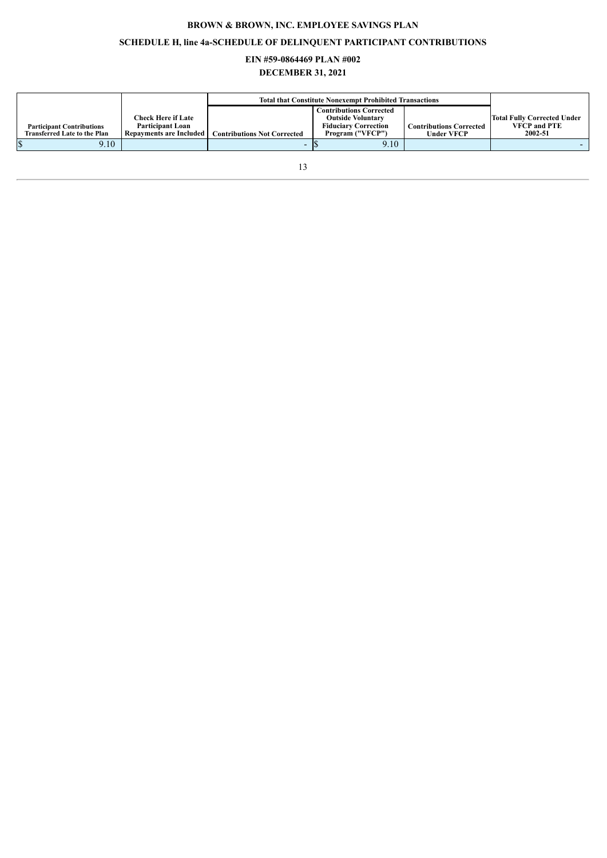# **SCHEDULE H, line 4a-SCHEDULE OF DELINQUENT PARTICIPANT CONTRIBUTIONS**

# **EIN #59-0864469 PLAN #002**

| <b>DECEMBER 31, 2021</b> |  |
|--------------------------|--|
|--------------------------|--|

| <b>Contributions Corrected</b><br><b>Outside Voluntary</b><br>Check Here if Late<br>Total Fully Corrected Under<br><b>Participant Loan</b><br><b>Fiduciary Correction</b><br><b>VFCP</b> and PTE<br><b>Contributions Corrected</b><br><b>Participant Contributions</b><br>2002-51 |                                                                |
|-----------------------------------------------------------------------------------------------------------------------------------------------------------------------------------------------------------------------------------------------------------------------------------|----------------------------------------------------------------|
| Program ("VFCP")<br><b>Contributions Not Corrected</b><br>Under VFCP                                                                                                                                                                                                              | Repayments are Included<br><b>Transferred Late to the Plan</b> |
| 9.10<br>9.10                                                                                                                                                                                                                                                                      |                                                                |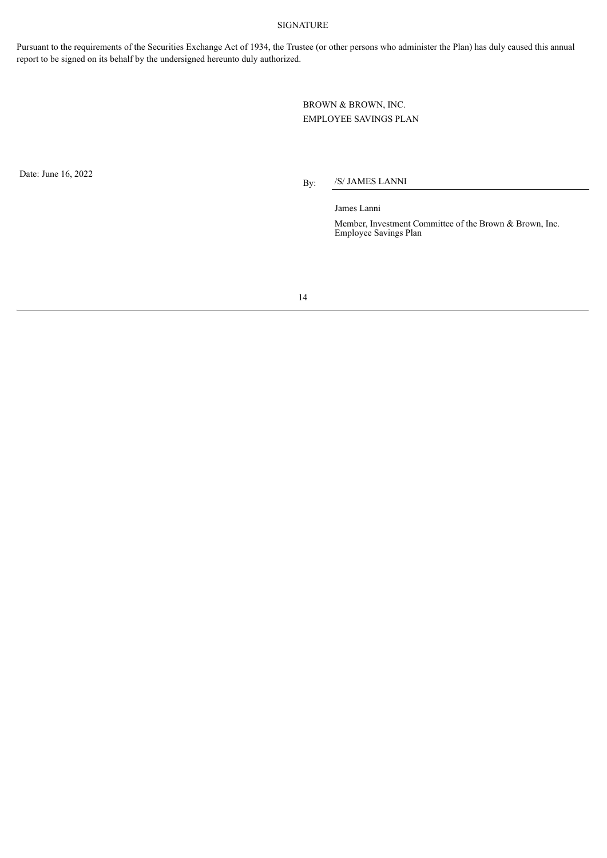#### SIGNATURE

Pursuant to the requirements of the Securities Exchange Act of 1934, the Trustee (or other persons who administer the Plan) has duly caused this annual report to be signed on its behalf by the undersigned hereunto duly authorized.

> BROWN & BROWN, INC. EMPLOYEE SAVINGS PLAN

Date: June 16, 2022

By: /S/ JAMES LANNI

James Lanni

Member, Investment Committee of the Brown & Brown, Inc. Employee Savings Plan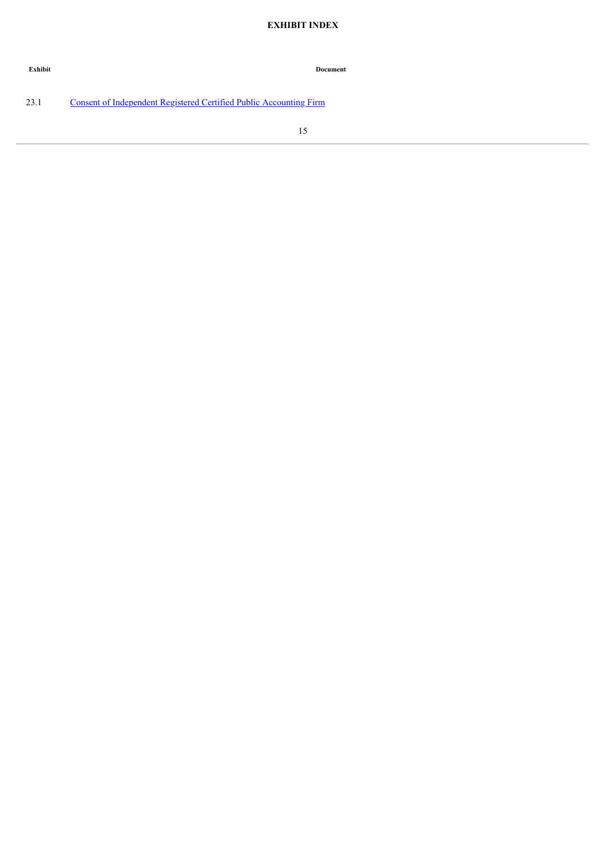**Exhibit Document**

23.1 Consent of [Independent](#page-15-0) Registered Certified Public Accounting Firm